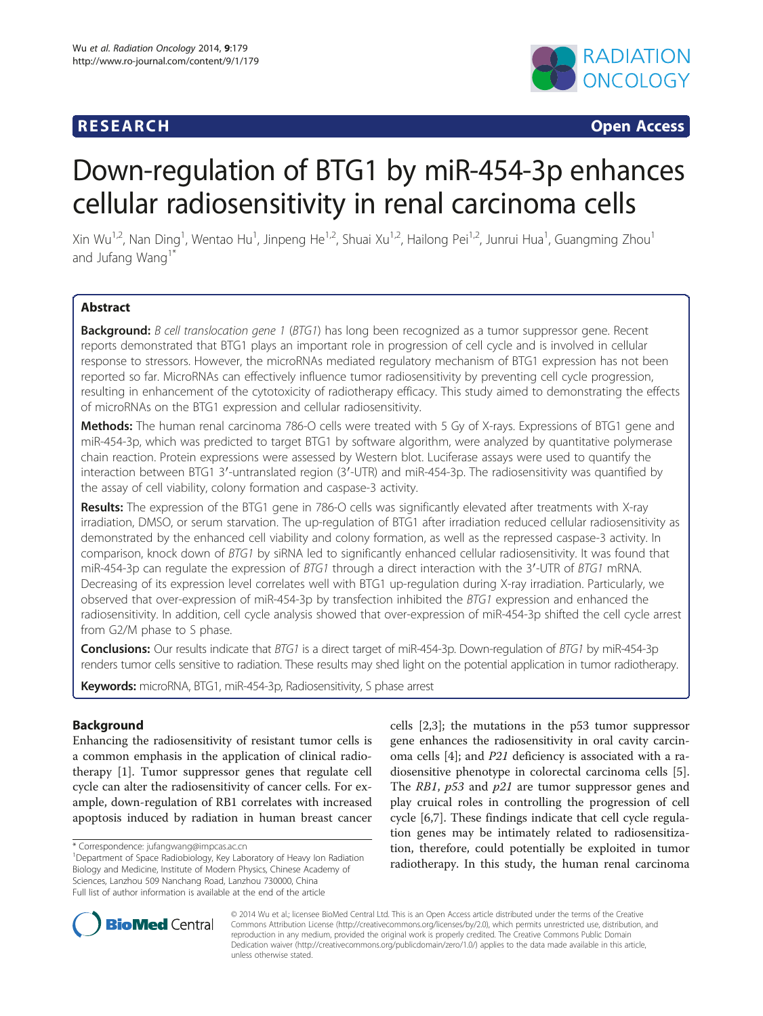## **RESEARCH RESEARCH** *CHECK <b>CHECK*



# Down-regulation of BTG1 by miR-454-3p enhances cellular radiosensitivity in renal carcinoma cells

Xin Wu<sup>1,2</sup>, Nan Ding<sup>1</sup>, Wentao Hu<sup>1</sup>, Jinpeng He<sup>1,2</sup>, Shuai Xu<sup>1,2</sup>, Hailong Pei<sup>1,2</sup>, Junrui Hua<sup>1</sup>, Guangming Zhou<sup>1</sup> and Jufang Wang<sup>1</sup>

## **Abstract**

Background: B cell translocation gene 1 (BTG1) has long been recognized as a tumor suppressor gene. Recent reports demonstrated that BTG1 plays an important role in progression of cell cycle and is involved in cellular response to stressors. However, the microRNAs mediated regulatory mechanism of BTG1 expression has not been reported so far. MicroRNAs can effectively influence tumor radiosensitivity by preventing cell cycle progression, resulting in enhancement of the cytotoxicity of radiotherapy efficacy. This study aimed to demonstrating the effects of microRNAs on the BTG1 expression and cellular radiosensitivity.

Methods: The human renal carcinoma 786-O cells were treated with 5 Gy of X-rays. Expressions of BTG1 gene and miR-454-3p, which was predicted to target BTG1 by software algorithm, were analyzed by quantitative polymerase chain reaction. Protein expressions were assessed by Western blot. Luciferase assays were used to quantify the interaction between BTG1 3′-untranslated region (3′-UTR) and miR-454-3p. The radiosensitivity was quantified by the assay of cell viability, colony formation and caspase-3 activity.

Results: The expression of the BTG1 gene in 786-O cells was significantly elevated after treatments with X-ray irradiation, DMSO, or serum starvation. The up-regulation of BTG1 after irradiation reduced cellular radiosensitivity as demonstrated by the enhanced cell viability and colony formation, as well as the repressed caspase-3 activity. In comparison, knock down of BTG1 by siRNA led to significantly enhanced cellular radiosensitivity. It was found that miR-454-3p can regulate the expression of BTG1 through a direct interaction with the 3'-UTR of BTG1 mRNA. Decreasing of its expression level correlates well with BTG1 up-regulation during X-ray irradiation. Particularly, we observed that over-expression of miR-454-3p by transfection inhibited the BTG1 expression and enhanced the radiosensitivity. In addition, cell cycle analysis showed that over-expression of miR-454-3p shifted the cell cycle arrest from G2/M phase to S phase.

Conclusions: Our results indicate that BTG1 is a direct target of miR-454-3p. Down-regulation of BTG1 by miR-454-3p renders tumor cells sensitive to radiation. These results may shed light on the potential application in tumor radiotherapy.

Keywords: microRNA, BTG1, miR-454-3p, Radiosensitivity, S phase arrest

## Background

Enhancing the radiosensitivity of resistant tumor cells is a common emphasis in the application of clinical radiotherapy [[1\]](#page-9-0). Tumor suppressor genes that regulate cell cycle can alter the radiosensitivity of cancer cells. For example, down-regulation of RB1 correlates with increased apoptosis induced by radiation in human breast cancer

cells [\[2,3](#page-9-0)]; the mutations in the p53 tumor suppressor gene enhances the radiosensitivity in oral cavity carcinoma cells [[4\]](#page-9-0); and P21 deficiency is associated with a radiosensitive phenotype in colorectal carcinoma cells [\[5](#page-9-0)]. The RB1, p53 and p21 are tumor suppressor genes and play cruical roles in controlling the progression of cell cycle [\[6,7](#page-9-0)]. These findings indicate that cell cycle regulation genes may be intimately related to radiosensitization, therefore, could potentially be exploited in tumor radiotherapy. In this study, the human renal carcinoma



© 2014 Wu et al.; licensee BioMed Central Ltd. This is an Open Access article distributed under the terms of the Creative Commons Attribution License [\(http://creativecommons.org/licenses/by/2.0\)](http://creativecommons.org/licenses/by/2.0), which permits unrestricted use, distribution, and reproduction in any medium, provided the original work is properly credited. The Creative Commons Public Domain Dedication waiver [\(http://creativecommons.org/publicdomain/zero/1.0/](http://creativecommons.org/publicdomain/zero/1.0/)) applies to the data made available in this article, unless otherwise stated.

<sup>\*</sup> Correspondence: [jufangwang@impcas.ac.cn](mailto:jufangwang@impcas.ac.cn) <sup>1</sup>

Department of Space Radiobiology, Key Laboratory of Heavy Ion Radiation Biology and Medicine, Institute of Modern Physics, Chinese Academy of Sciences, Lanzhou 509 Nanchang Road, Lanzhou 730000, China Full list of author information is available at the end of the article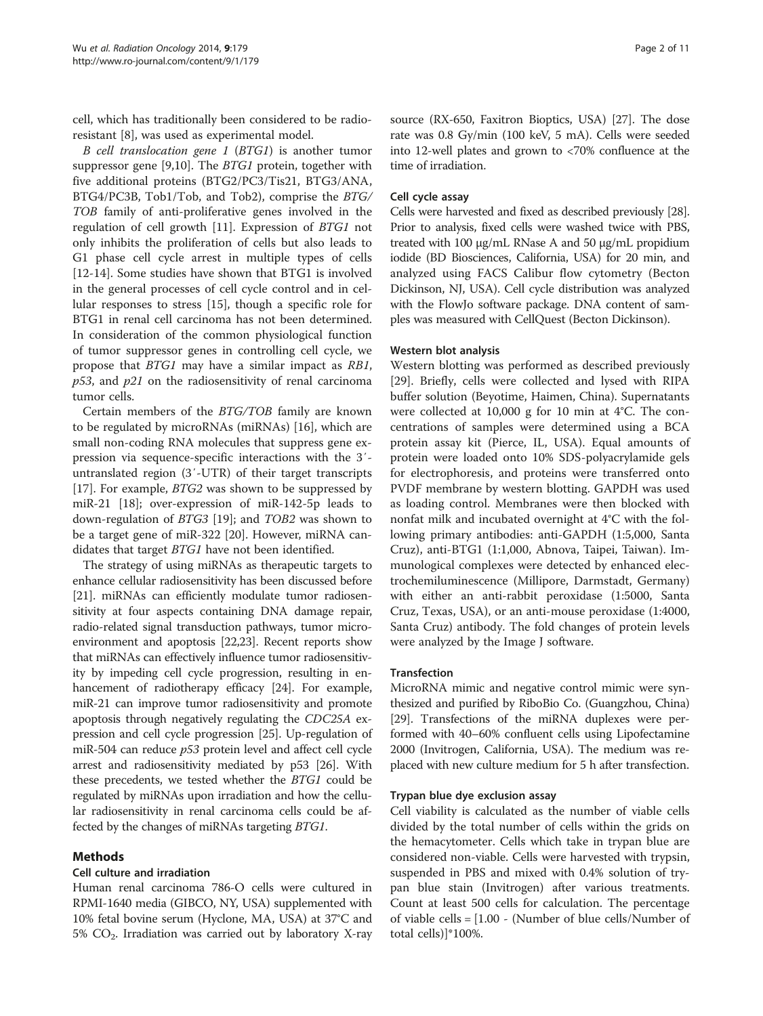<span id="page-1-0"></span>cell, which has traditionally been considered to be radioresistant [\[8](#page-9-0)], was used as experimental model.

B cell translocation gene 1 (BTG1) is another tumor suppressor gene [\[9,10\]](#page-9-0). The BTG1 protein, together with five additional proteins (BTG2/PC3/Tis21, BTG3/ANA, BTG4/PC3B, Tob1/Tob, and Tob2), comprise the BTG/ TOB family of anti-proliferative genes involved in the regulation of cell growth [[11\]](#page-9-0). Expression of BTG1 not only inhibits the proliferation of cells but also leads to G1 phase cell cycle arrest in multiple types of cells [[12-14](#page-9-0)]. Some studies have shown that BTG1 is involved in the general processes of cell cycle control and in cellular responses to stress [[15](#page-9-0)], though a specific role for BTG1 in renal cell carcinoma has not been determined. In consideration of the common physiological function of tumor suppressor genes in controlling cell cycle, we propose that BTG1 may have a similar impact as RB1,  $p53$ , and  $p21$  on the radiosensitivity of renal carcinoma tumor cells.

Certain members of the BTG/TOB family are known to be regulated by microRNAs (miRNAs) [[16](#page-9-0)], which are small non-coding RNA molecules that suppress gene expression via sequence-specific interactions with the 3′ untranslated region (3′-UTR) of their target transcripts [[17\]](#page-10-0). For example, BTG2 was shown to be suppressed by miR-21 [[18\]](#page-10-0); over-expression of miR-142-5p leads to down-regulation of BTG3 [\[19](#page-10-0)]; and TOB2 was shown to be a target gene of miR-322 [[20\]](#page-10-0). However, miRNA candidates that target BTG1 have not been identified.

The strategy of using miRNAs as therapeutic targets to enhance cellular radiosensitivity has been discussed before [[21](#page-10-0)]. miRNAs can efficiently modulate tumor radiosensitivity at four aspects containing DNA damage repair, radio-related signal transduction pathways, tumor microenvironment and apoptosis [\[22,23\]](#page-10-0). Recent reports show that miRNAs can effectively influence tumor radiosensitivity by impeding cell cycle progression, resulting in enhancement of radiotherapy efficacy [\[24\]](#page-10-0). For example, miR-21 can improve tumor radiosensitivity and promote apoptosis through negatively regulating the CDC25A expression and cell cycle progression [[25](#page-10-0)]. Up-regulation of miR-504 can reduce p53 protein level and affect cell cycle arrest and radiosensitivity mediated by p53 [[26](#page-10-0)]. With these precedents, we tested whether the BTG1 could be regulated by miRNAs upon irradiation and how the cellular radiosensitivity in renal carcinoma cells could be affected by the changes of miRNAs targeting BTG1.

## Methods

## Cell culture and irradiation

Human renal carcinoma 786-O cells were cultured in RPMI-1640 media (GIBCO, NY, USA) supplemented with 10% fetal bovine serum (Hyclone, MA, USA) at 37°C and 5%  $CO<sub>2</sub>$ . Irradiation was carried out by laboratory X-ray

source (RX-650, Faxitron Bioptics, USA) [[27](#page-10-0)]. The dose rate was 0.8 Gy/min (100 keV, 5 mA). Cells were seeded into 12-well plates and grown to <70% confluence at the time of irradiation.

## Cell cycle assay

Cells were harvested and fixed as described previously [\[28](#page-10-0)]. Prior to analysis, fixed cells were washed twice with PBS, treated with 100 μg/mL RNase A and 50 μg/mL propidium iodide (BD Biosciences, California, USA) for 20 min, and analyzed using FACS Calibur flow cytometry (Becton Dickinson, NJ, USA). Cell cycle distribution was analyzed with the FlowJo software package. DNA content of samples was measured with CellQuest (Becton Dickinson).

## Western blot analysis

Western blotting was performed as described previously [[29\]](#page-10-0). Briefly, cells were collected and lysed with RIPA buffer solution (Beyotime, Haimen, China). Supernatants were collected at 10,000 g for 10 min at 4°C. The concentrations of samples were determined using a BCA protein assay kit (Pierce, IL, USA). Equal amounts of protein were loaded onto 10% SDS-polyacrylamide gels for electrophoresis, and proteins were transferred onto PVDF membrane by western blotting. GAPDH was used as loading control. Membranes were then blocked with nonfat milk and incubated overnight at 4°C with the following primary antibodies: anti-GAPDH (1:5,000, Santa Cruz), anti-BTG1 (1:1,000, Abnova, Taipei, Taiwan). Immunological complexes were detected by enhanced electrochemiluminescence (Millipore, Darmstadt, Germany) with either an anti-rabbit peroxidase (1:5000, Santa Cruz, Texas, USA), or an anti-mouse peroxidase (1:4000, Santa Cruz) antibody. The fold changes of protein levels were analyzed by the Image J software.

## Transfection

MicroRNA mimic and negative control mimic were synthesized and purified by RiboBio Co. (Guangzhou, China) [[29](#page-10-0)]. Transfections of the miRNA duplexes were performed with 40–60% confluent cells using Lipofectamine 2000 (Invitrogen, California, USA). The medium was replaced with new culture medium for 5 h after transfection.

## Trypan blue dye exclusion assay

Cell viability is calculated as the number of viable cells divided by the total number of cells within the grids on the hemacytometer. Cells which take in trypan blue are considered non-viable. Cells were harvested with trypsin, suspended in PBS and mixed with 0.4% solution of trypan blue stain (Invitrogen) after various treatments. Count at least 500 cells for calculation. The percentage of viable cells = [1.00 - (Number of blue cells/Number of total cells)]\*100%.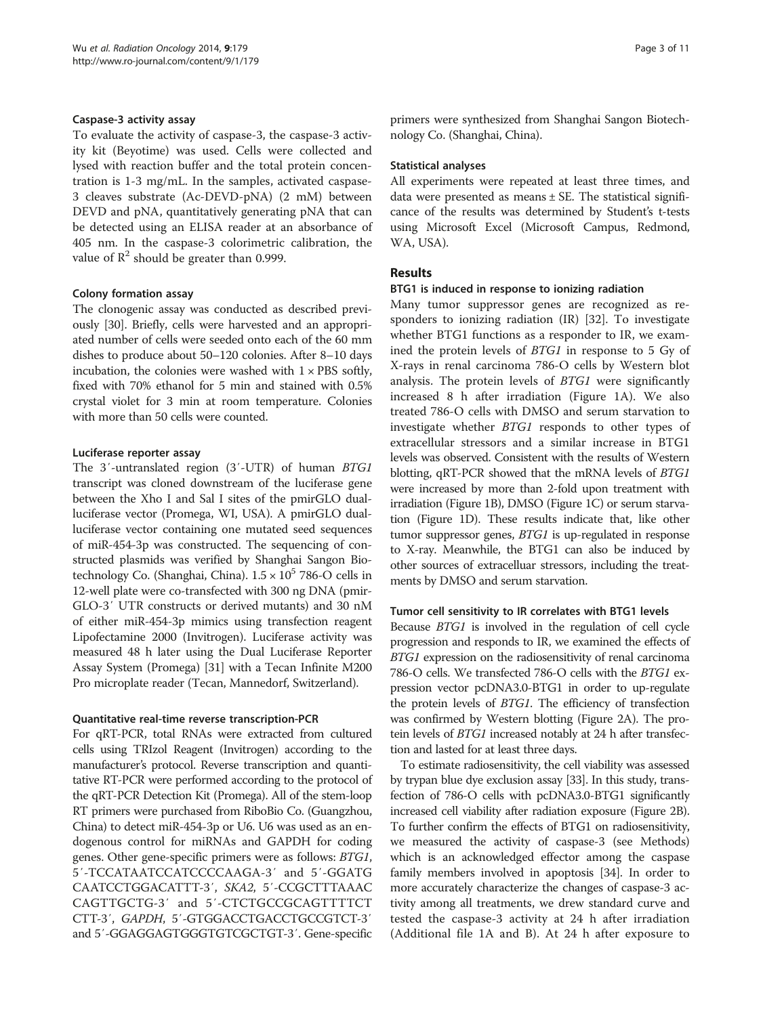#### Caspase-3 activity assay

To evaluate the activity of caspase-3, the caspase-3 activity kit (Beyotime) was used. Cells were collected and lysed with reaction buffer and the total protein concentration is 1-3 mg/mL. In the samples, activated caspase-3 cleaves substrate (Ac-DEVD-pNA) (2 mM) between DEVD and pNA, quantitatively generating pNA that can be detected using an ELISA reader at an absorbance of 405 nm. In the caspase-3 colorimetric calibration, the value of  $\mathbb{R}^2$  should be greater than 0.999.

#### Colony formation assay

The clonogenic assay was conducted as described previously [\[30\]](#page-10-0). Briefly, cells were harvested and an appropriated number of cells were seeded onto each of the 60 mm dishes to produce about 50–120 colonies. After 8–10 days incubation, the colonies were washed with  $1 \times PBS$  softly, fixed with 70% ethanol for 5 min and stained with 0.5% crystal violet for 3 min at room temperature. Colonies with more than 50 cells were counted.

#### Luciferase reporter assay

The 3'-untranslated region (3'-UTR) of human BTG1 transcript was cloned downstream of the luciferase gene between the Xho I and Sal I sites of the pmirGLO dualluciferase vector (Promega, WI, USA). A pmirGLO dualluciferase vector containing one mutated seed sequences of miR-454-3p was constructed. The sequencing of constructed plasmids was verified by Shanghai Sangon Biotechnology Co. (Shanghai, China).  $1.5 \times 10^5$  786-O cells in 12-well plate were co-transfected with 300 ng DNA (pmir-GLO-3′ UTR constructs or derived mutants) and 30 nM of either miR-454-3p mimics using transfection reagent Lipofectamine 2000 (Invitrogen). Luciferase activity was measured 48 h later using the Dual Luciferase Reporter Assay System (Promega) [[31](#page-10-0)] with a Tecan Infinite M200 Pro microplate reader (Tecan, Mannedorf, Switzerland).

#### Quantitative real-time reverse transcription-PCR

For qRT-PCR, total RNAs were extracted from cultured cells using TRIzol Reagent (Invitrogen) according to the manufacturer's protocol. Reverse transcription and quantitative RT-PCR were performed according to the protocol of the qRT-PCR Detection Kit (Promega). All of the stem-loop RT primers were purchased from RiboBio Co. (Guangzhou, China) to detect miR-454-3p or U6. U6 was used as an endogenous control for miRNAs and GAPDH for coding genes. Other gene-specific primers were as follows: BTG1, 5′-TCCATAATCCATCCCCAAGA-3′ and 5′-GGATG CAATCCTGGACATTT-3′, SKA2, 5′-CCGCTTTAAAC CAGTTGCTG-3′ and 5′-CTCTGCCGCAGTTTTCT CTT-3′, GAPDH, 5′-GTGGACCTGACCTGCCGTCT-3′ and 5′-GGAGGAGTGGGTGTCGCTGT-3′. Gene-specific primers were synthesized from Shanghai Sangon Biotechnology Co. (Shanghai, China).

#### Statistical analyses

All experiments were repeated at least three times, and data were presented as means  $\pm$  SE. The statistical significance of the results was determined by Student's t-tests using Microsoft Excel (Microsoft Campus, Redmond, WA, USA).

#### Results

#### BTG1 is induced in response to ionizing radiation

Many tumor suppressor genes are recognized as responders to ionizing radiation (IR) [[32\]](#page-10-0). To investigate whether BTG1 functions as a responder to IR, we examined the protein levels of BTG1 in response to 5 Gy of X-rays in renal carcinoma 786-O cells by Western blot analysis. The protein levels of BTG1 were significantly increased 8 h after irradiation (Figure [1](#page-3-0)A). We also treated 786-O cells with DMSO and serum starvation to investigate whether BTG1 responds to other types of extracellular stressors and a similar increase in BTG1 levels was observed. Consistent with the results of Western blotting, qRT-PCR showed that the mRNA levels of BTG1 were increased by more than 2-fold upon treatment with irradiation (Figure [1B](#page-3-0)), DMSO (Figure [1C](#page-3-0)) or serum starvation (Figure [1](#page-3-0)D). These results indicate that, like other tumor suppressor genes, BTG1 is up-regulated in response to X-ray. Meanwhile, the BTG1 can also be induced by other sources of extracelluar stressors, including the treatments by DMSO and serum starvation.

#### Tumor cell sensitivity to IR correlates with BTG1 levels

Because BTG1 is involved in the regulation of cell cycle progression and responds to IR, we examined the effects of BTG1 expression on the radiosensitivity of renal carcinoma 786-O cells. We transfected 786-O cells with the BTG1 expression vector pcDNA3.0-BTG1 in order to up-regulate the protein levels of BTG1. The efficiency of transfection was confirmed by Western blotting (Figure [2A](#page-4-0)). The protein levels of BTG1 increased notably at 24 h after transfection and lasted for at least three days.

To estimate radiosensitivity, the cell viability was assessed by trypan blue dye exclusion assay [\[33](#page-10-0)]. In this study, transfection of 786-O cells with pcDNA3.0-BTG1 significantly increased cell viability after radiation exposure (Figure [2B](#page-4-0)). To further confirm the effects of BTG1 on radiosensitivity, we measured the activity of caspase-3 (see [Methods](#page-1-0)) which is an acknowledged effector among the caspase family members involved in apoptosis [\[34](#page-10-0)]. In order to more accurately characterize the changes of caspase-3 activity among all treatments, we drew standard curve and tested the caspase-3 activity at 24 h after irradiation (Additional file [1A](#page-9-0) and B). At 24 h after exposure to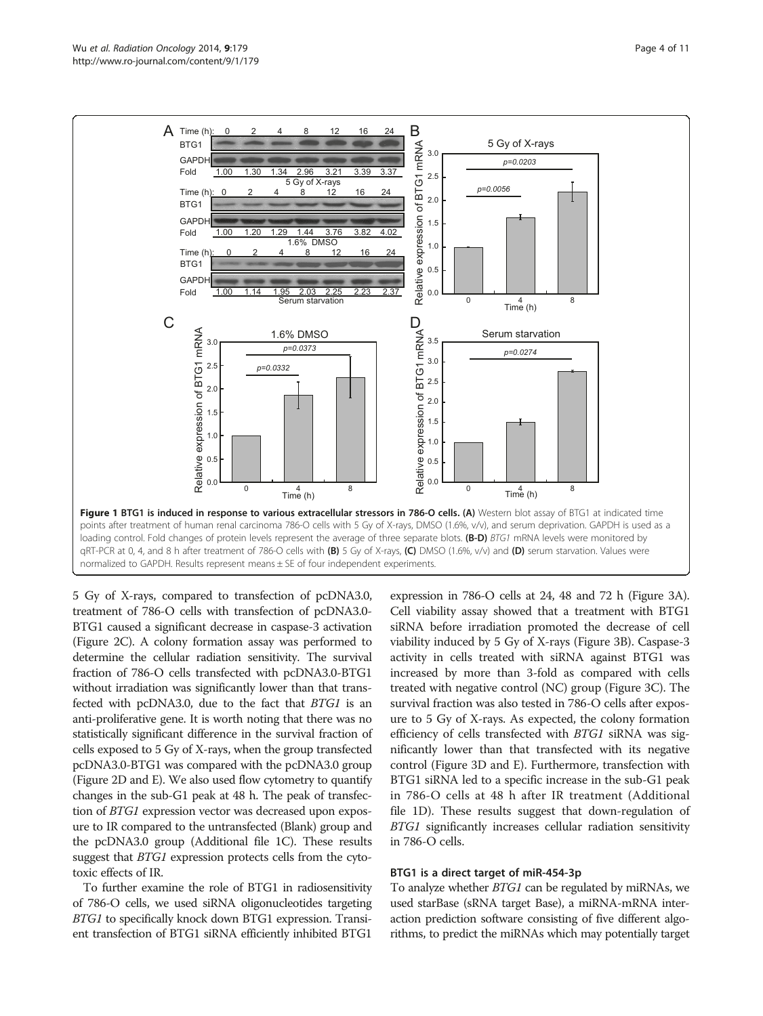<span id="page-3-0"></span>

5 Gy of X-rays, compared to transfection of pcDNA3.0, treatment of 786-O cells with transfection of pcDNA3.0- BTG1 caused a significant decrease in caspase-3 activation (Figure [2](#page-4-0)C). A colony formation assay was performed to determine the cellular radiation sensitivity. The survival fraction of 786-O cells transfected with pcDNA3.0-BTG1 without irradiation was significantly lower than that transfected with pcDNA3.0, due to the fact that BTG1 is an anti-proliferative gene. It is worth noting that there was no statistically significant difference in the survival fraction of cells exposed to 5 Gy of X-rays, when the group transfected pcDNA3.0-BTG1 was compared with the pcDNA3.0 group (Figure [2D](#page-4-0) and E). We also used flow cytometry to quantify changes in the sub-G1 peak at 48 h. The peak of transfection of BTG1 expression vector was decreased upon exposure to IR compared to the untransfected (Blank) group and the pcDNA3.0 group (Additional file [1C](#page-9-0)). These results suggest that BTG1 expression protects cells from the cytotoxic effects of IR.

To further examine the role of BTG1 in radiosensitivity of 786-O cells, we used siRNA oligonucleotides targeting BTG1 to specifically knock down BTG1 expression. Transient transfection of BTG1 siRNA efficiently inhibited BTG1

expression in 786-O cells at 24, 48 and 72 h (Figure [3A](#page-5-0)). Cell viability assay showed that a treatment with BTG1 siRNA before irradiation promoted the decrease of cell viability induced by 5 Gy of X-rays (Figure [3](#page-5-0)B). Caspase-3 activity in cells treated with siRNA against BTG1 was increased by more than 3-fold as compared with cells treated with negative control (NC) group (Figure [3](#page-5-0)C). The survival fraction was also tested in 786-O cells after exposure to 5 Gy of X-rays. As expected, the colony formation efficiency of cells transfected with BTG1 siRNA was significantly lower than that transfected with its negative control (Figure [3D](#page-5-0) and E). Furthermore, transfection with BTG1 siRNA led to a specific increase in the sub-G1 peak in 786-O cells at 48 h after IR treatment (Additional file [1D](#page-9-0)). These results suggest that down-regulation of BTG1 significantly increases cellular radiation sensitivity in 786-O cells.

#### BTG1 is a direct target of miR-454-3p

To analyze whether BTG1 can be regulated by miRNAs, we used starBase (sRNA target Base), a miRNA-mRNA interaction prediction software consisting of five different algorithms, to predict the miRNAs which may potentially target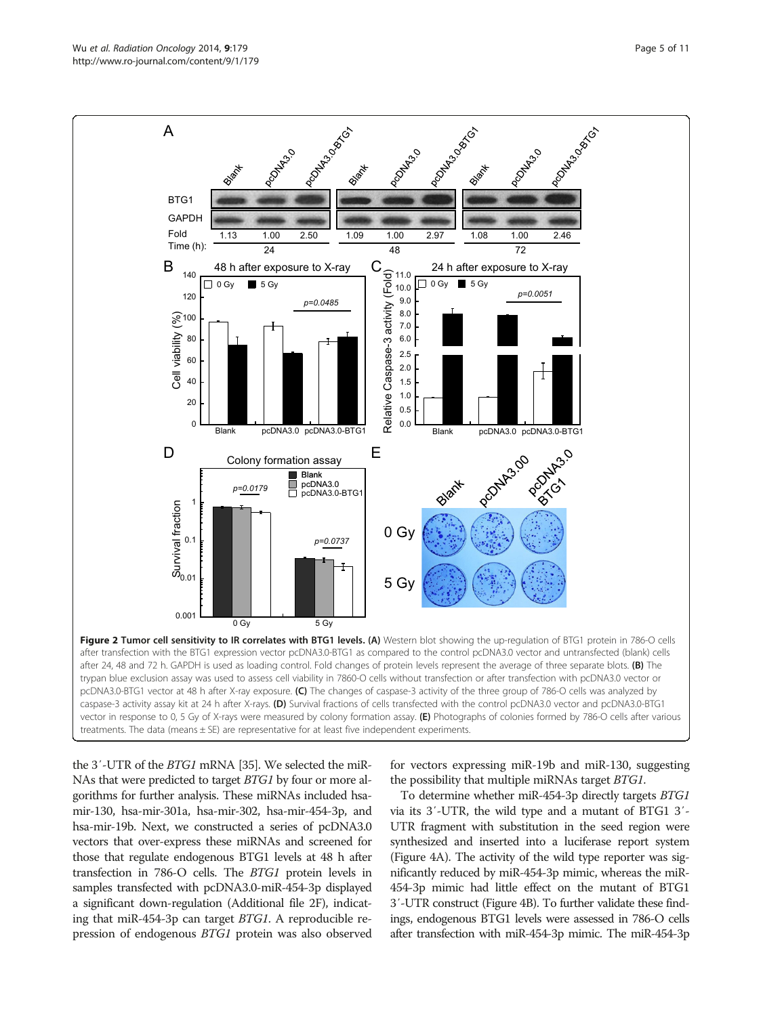<span id="page-4-0"></span>

the 3′-UTR of the BTG1 mRNA [\[35\]](#page-10-0). We selected the miR-NAs that were predicted to target BTG1 by four or more algorithms for further analysis. These miRNAs included hsamir-130, hsa-mir-301a, hsa-mir-302, hsa-mir-454-3p, and hsa-mir-19b. Next, we constructed a series of pcDNA3.0 vectors that over-express these miRNAs and screened for those that regulate endogenous BTG1 levels at 48 h after transfection in 786-O cells. The BTG1 protein levels in samples transfected with pcDNA3.0-miR-454-3p displayed a significant down-regulation (Additional file [2](#page-9-0)F), indicating that miR-454-3p can target BTG1. A reproducible repression of endogenous BTG1 protein was also observed for vectors expressing miR-19b and miR-130, suggesting the possibility that multiple miRNAs target BTG1.

To determine whether miR-454-3p directly targets BTG1 via its 3′-UTR, the wild type and a mutant of BTG1 3′- UTR fragment with substitution in the seed region were synthesized and inserted into a luciferase report system (Figure [4](#page-6-0)A). The activity of the wild type reporter was significantly reduced by miR-454-3p mimic, whereas the miR-454-3p mimic had little effect on the mutant of BTG1 3′-UTR construct (Figure [4](#page-6-0)B). To further validate these findings, endogenous BTG1 levels were assessed in 786-O cells after transfection with miR-454-3p mimic. The miR-454-3p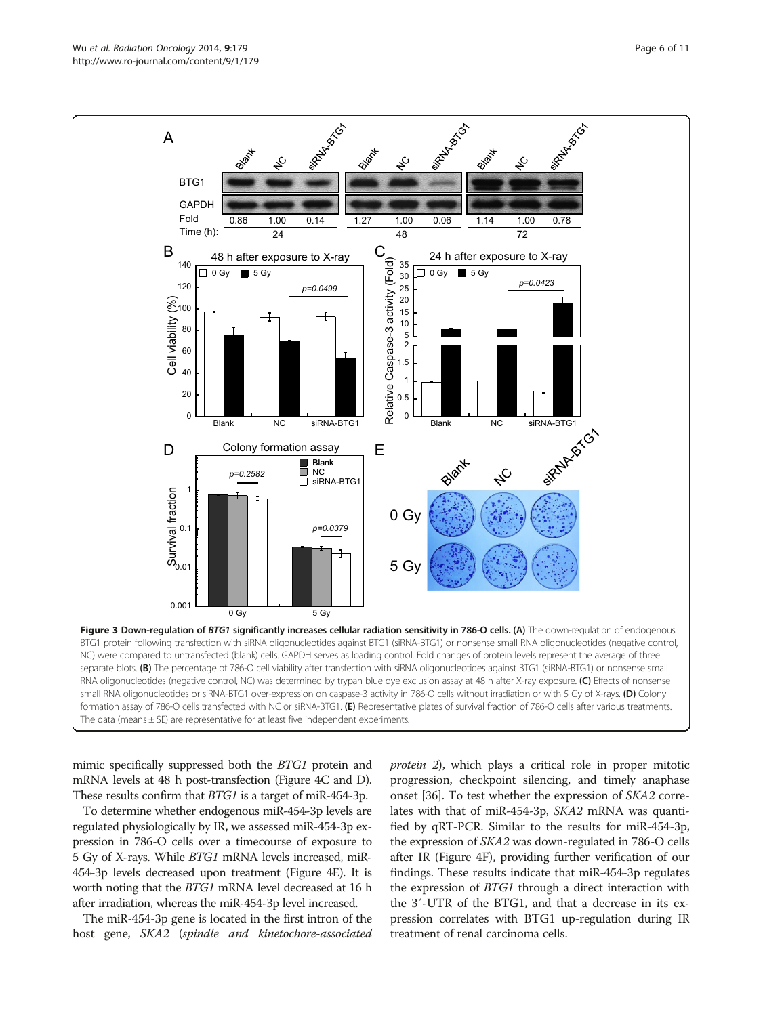<span id="page-5-0"></span>

mimic specifically suppressed both the BTG1 protein and mRNA levels at 48 h post-transfection (Figure [4](#page-6-0)C and D). These results confirm that BTG1 is a target of miR-454-3p.

To determine whether endogenous miR-454-3p levels are regulated physiologically by IR, we assessed miR-454-3p expression in 786-O cells over a timecourse of exposure to 5 Gy of X-rays. While BTG1 mRNA levels increased, miR-454-3p levels decreased upon treatment (Figure [4E](#page-6-0)). It is worth noting that the BTG1 mRNA level decreased at 16 h after irradiation, whereas the miR-454-3p level increased.

The miR-454-3p gene is located in the first intron of the host gene, SKA2 (spindle and kinetochore-associated protein 2), which plays a critical role in proper mitotic progression, checkpoint silencing, and timely anaphase onset [\[36\]](#page-10-0). To test whether the expression of SKA2 correlates with that of miR-454-3p, SKA2 mRNA was quantified by qRT-PCR. Similar to the results for miR-454-3p, the expression of SKA2 was down-regulated in 786-O cells after IR (Figure [4F](#page-6-0)), providing further verification of our findings. These results indicate that miR-454-3p regulates the expression of BTG1 through a direct interaction with the 3′-UTR of the BTG1, and that a decrease in its expression correlates with BTG1 up-regulation during IR treatment of renal carcinoma cells.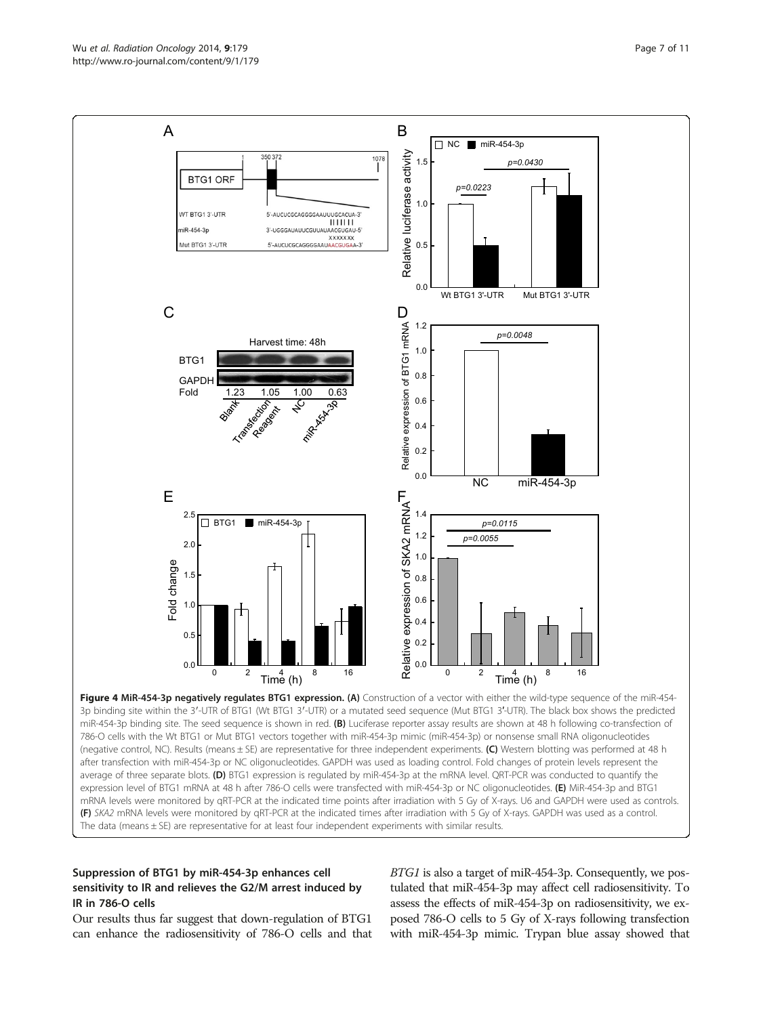<span id="page-6-0"></span>

miR-454-3p binding site. The seed sequence is shown in red. (B) Luciferase reporter assay results are shown at 48 h following co-transfection of 786-O cells with the Wt BTG1 or Mut BTG1 vectors together with miR-454-3p mimic (miR-454-3p) or nonsense small RNA oligonucleotides (negative control, NC). Results (means ± SE) are representative for three independent experiments. (C) Western blotting was performed at 48 h after transfection with miR-454-3p or NC oligonucleotides. GAPDH was used as loading control. Fold changes of protein levels represent the average of three separate blots. (D) BTG1 expression is regulated by miR-454-3p at the mRNA level. QRT-PCR was conducted to quantify the expression level of BTG1 mRNA at 48 h after 786-O cells were transfected with miR-454-3p or NC oligonucleotides. (E) MiR-454-3p and BTG1 mRNA levels were monitored by qRT-PCR at the indicated time points after irradiation with 5 Gy of X-rays. U6 and GAPDH were used as controls. (F) SKA2 mRNA levels were monitored by qRT-PCR at the indicated times after irradiation with 5 Gy of X-rays. GAPDH was used as a control. The data (means ± SE) are representative for at least four independent experiments with similar results.

## Suppression of BTG1 by miR-454-3p enhances cell sensitivity to IR and relieves the G2/M arrest induced by IR in 786-O cells

Our results thus far suggest that down-regulation of BTG1 can enhance the radiosensitivity of 786-O cells and that BTG1 is also a target of miR-454-3p. Consequently, we postulated that miR-454-3p may affect cell radiosensitivity. To assess the effects of miR-454-3p on radiosensitivity, we exposed 786-O cells to 5 Gy of X-rays following transfection with miR-454-3p mimic. Trypan blue assay showed that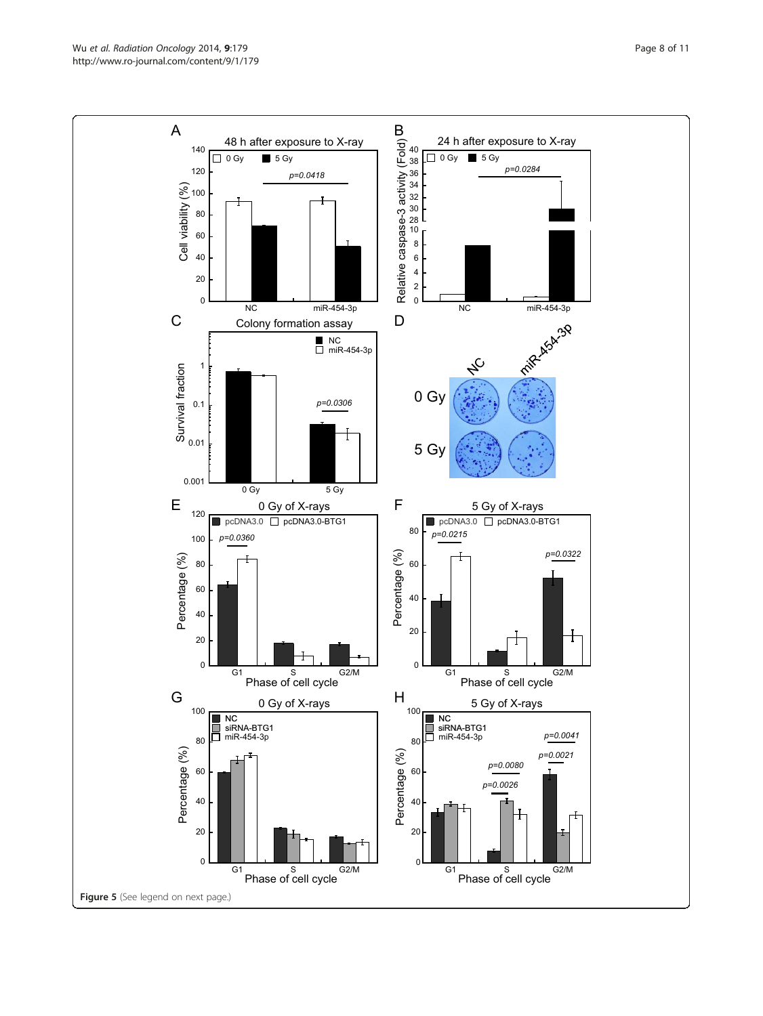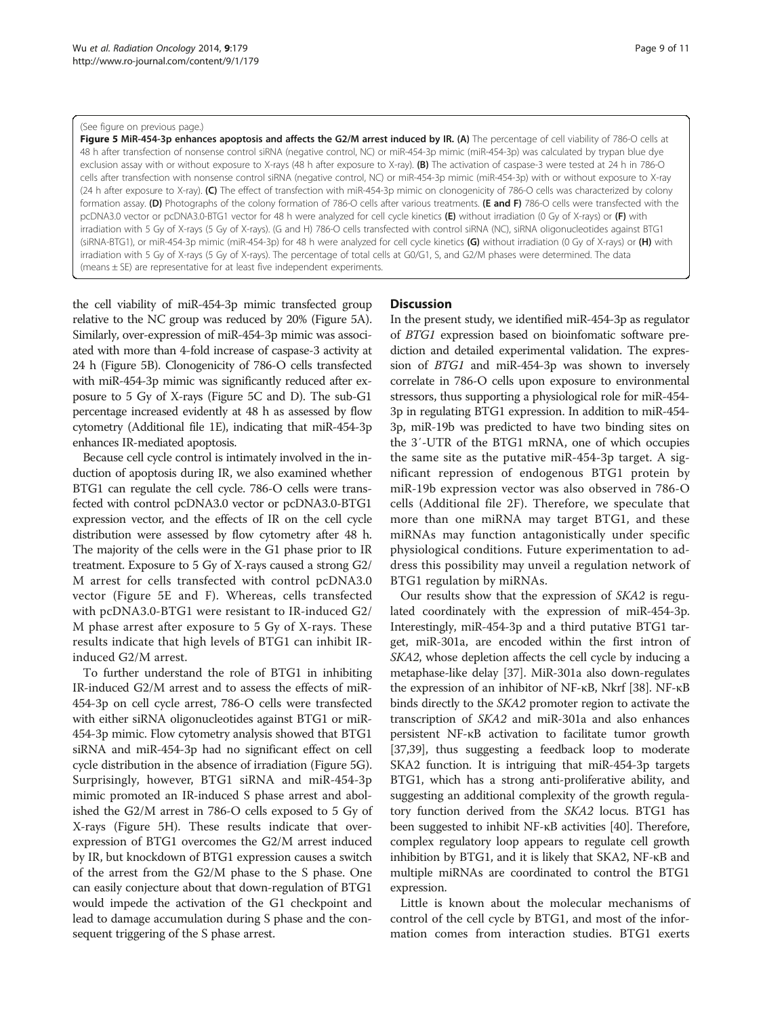#### (See figure on previous page.)

Figure 5 MiR-454-3p enhances apoptosis and affects the G2/M arrest induced by IR. (A) The percentage of cell viability of 786-O cells at 48 h after transfection of nonsense control siRNA (negative control, NC) or miR-454-3p mimic (miR-454-3p) was calculated by trypan blue dye exclusion assay with or without exposure to X-rays (48 h after exposure to X-ray). (B) The activation of caspase-3 were tested at 24 h in 786-O cells after transfection with nonsense control siRNA (negative control, NC) or miR-454-3p mimic (miR-454-3p) with or without exposure to X-ray (24 h after exposure to X-ray). (C) The effect of transfection with miR-454-3p mimic on clonogenicity of 786-O cells was characterized by colony formation assay. (D) Photographs of the colony formation of 786-O cells after various treatments. (E and F) 786-O cells were transfected with the pcDNA3.0 vector or pcDNA3.0-BTG1 vector for 48 h were analyzed for cell cycle kinetics (E) without irradiation (0 Gy of X-rays) or (F) with irradiation with 5 Gy of X-rays (5 Gy of X-rays). (G and H) 786-O cells transfected with control siRNA (NC), siRNA oligonucleotides against BTG1 (siRNA-BTG1), or miR-454-3p mimic (miR-454-3p) for 48 h were analyzed for cell cycle kinetics (G) without irradiation (0 Gy of X-rays) or (H) with irradiation with 5 Gy of X-rays (5 Gy of X-rays). The percentage of total cells at G0/G1, S, and G2/M phases were determined. The data (means ± SE) are representative for at least five independent experiments.

the cell viability of miR-454-3p mimic transfected group relative to the NC group was reduced by 20% (Figure 5A). Similarly, over-expression of miR-454-3p mimic was associated with more than 4-fold increase of caspase-3 activity at 24 h (Figure 5B). Clonogenicity of 786-O cells transfected with miR-454-3p mimic was significantly reduced after exposure to 5 Gy of X-rays (Figure 5C and D). The sub-G1 percentage increased evidently at 48 h as assessed by flow cytometry (Additional file [1](#page-9-0)E), indicating that miR-454-3p enhances IR-mediated apoptosis.

Because cell cycle control is intimately involved in the induction of apoptosis during IR, we also examined whether BTG1 can regulate the cell cycle. 786-O cells were transfected with control pcDNA3.0 vector or pcDNA3.0-BTG1 expression vector, and the effects of IR on the cell cycle distribution were assessed by flow cytometry after 48 h. The majority of the cells were in the G1 phase prior to IR treatment. Exposure to 5 Gy of X-rays caused a strong G2/ M arrest for cells transfected with control pcDNA3.0 vector (Figure 5E and F). Whereas, cells transfected with pcDNA3.0-BTG1 were resistant to IR-induced G2/ M phase arrest after exposure to 5 Gy of X-rays. These results indicate that high levels of BTG1 can inhibit IRinduced G2/M arrest.

To further understand the role of BTG1 in inhibiting IR-induced G2/M arrest and to assess the effects of miR-454-3p on cell cycle arrest, 786-O cells were transfected with either siRNA oligonucleotides against BTG1 or miR-454-3p mimic. Flow cytometry analysis showed that BTG1 siRNA and miR-454-3p had no significant effect on cell cycle distribution in the absence of irradiation (Figure 5G). Surprisingly, however, BTG1 siRNA and miR-454-3p mimic promoted an IR-induced S phase arrest and abolished the G2/M arrest in 786-O cells exposed to 5 Gy of X-rays (Figure 5H). These results indicate that overexpression of BTG1 overcomes the G2/M arrest induced by IR, but knockdown of BTG1 expression causes a switch of the arrest from the G2/M phase to the S phase. One can easily conjecture about that down-regulation of BTG1 would impede the activation of the G1 checkpoint and lead to damage accumulation during S phase and the consequent triggering of the S phase arrest.

## **Discussion**

In the present study, we identified miR-454-3p as regulator of BTG1 expression based on bioinfomatic software prediction and detailed experimental validation. The expression of BTG1 and miR-454-3p was shown to inversely correlate in 786-O cells upon exposure to environmental stressors, thus supporting a physiological role for miR-454- 3p in regulating BTG1 expression. In addition to miR-454- 3p, miR-19b was predicted to have two binding sites on the 3′-UTR of the BTG1 mRNA, one of which occupies the same site as the putative miR-454-3p target. A significant repression of endogenous BTG1 protein by miR-19b expression vector was also observed in 786-O cells (Additional file [2F](#page-9-0)). Therefore, we speculate that more than one miRNA may target BTG1, and these miRNAs may function antagonistically under specific physiological conditions. Future experimentation to address this possibility may unveil a regulation network of BTG1 regulation by miRNAs.

Our results show that the expression of SKA2 is regulated coordinately with the expression of miR-454-3p. Interestingly, miR-454-3p and a third putative BTG1 target, miR-301a, are encoded within the first intron of SKA2, whose depletion affects the cell cycle by inducing a metaphase-like delay [\[37\]](#page-10-0). MiR-301a also down-regulates the expression of an inhibitor of NF-κB, Nkrf [\[38\]](#page-10-0). NF-κB binds directly to the SKA2 promoter region to activate the transcription of SKA2 and miR-301a and also enhances persistent NF-κB activation to facilitate tumor growth [[37,39](#page-10-0)], thus suggesting a feedback loop to moderate SKA2 function. It is intriguing that miR-454-3p targets BTG1, which has a strong anti-proliferative ability, and suggesting an additional complexity of the growth regulatory function derived from the SKA2 locus. BTG1 has been suggested to inhibit NF-κB activities [\[40\]](#page-10-0). Therefore, complex regulatory loop appears to regulate cell growth inhibition by BTG1, and it is likely that SKA2, NF-κB and multiple miRNAs are coordinated to control the BTG1 expression.

Little is known about the molecular mechanisms of control of the cell cycle by BTG1, and most of the information comes from interaction studies. BTG1 exerts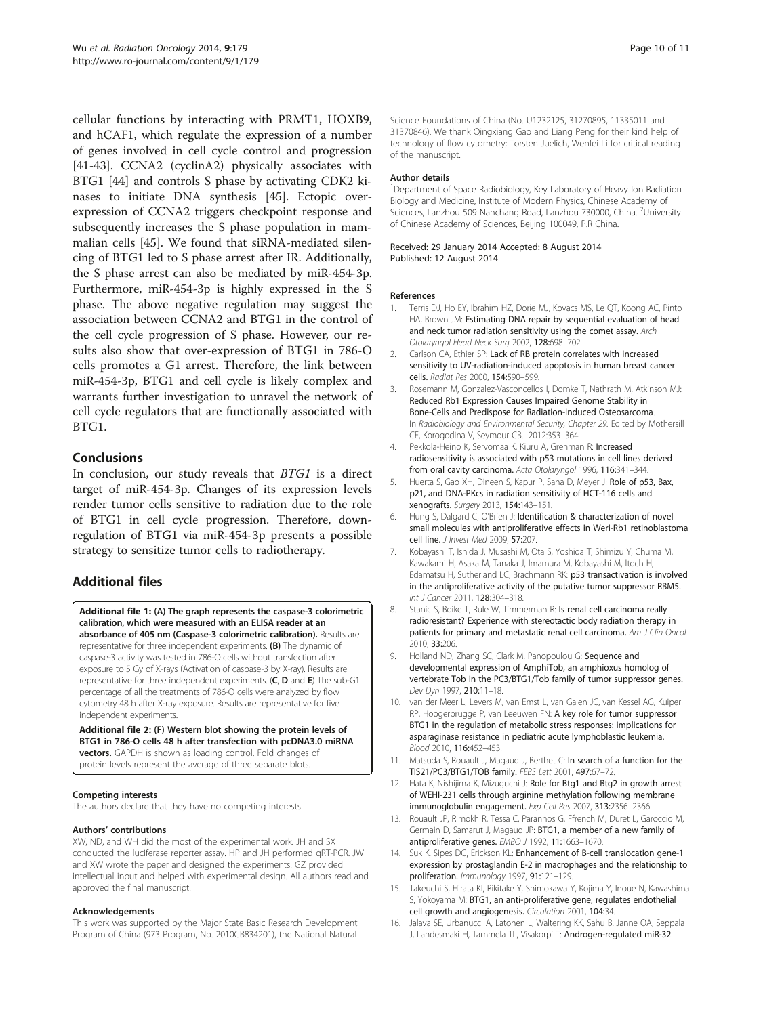<span id="page-9-0"></span>cellular functions by interacting with PRMT1, HOXB9, and hCAF1, which regulate the expression of a number of genes involved in cell cycle control and progression [[41-43](#page-10-0)]. CCNA2 (cyclinA2) physically associates with BTG1 [[44\]](#page-10-0) and controls S phase by activating CDK2 kinases to initiate DNA synthesis [\[45](#page-10-0)]. Ectopic overexpression of CCNA2 triggers checkpoint response and subsequently increases the S phase population in mammalian cells [\[45](#page-10-0)]. We found that siRNA-mediated silencing of BTG1 led to S phase arrest after IR. Additionally, the S phase arrest can also be mediated by miR-454-3p. Furthermore, miR-454-3p is highly expressed in the S phase. The above negative regulation may suggest the association between CCNA2 and BTG1 in the control of the cell cycle progression of S phase. However, our results also show that over-expression of BTG1 in 786-O cells promotes a G1 arrest. Therefore, the link between miR-454-3p, BTG1 and cell cycle is likely complex and warrants further investigation to unravel the network of cell cycle regulators that are functionally associated with BTG1.

## Conclusions

In conclusion, our study reveals that BTG1 is a direct target of miR-454-3p. Changes of its expression levels render tumor cells sensitive to radiation due to the role of BTG1 in cell cycle progression. Therefore, downregulation of BTG1 via miR-454-3p presents a possible strategy to sensitize tumor cells to radiotherapy.

## Additional files

[Additional file 1:](http://www.biomedcentral.com/content/supplementary/1748-717X-9-179-S1.pptx) (A) The graph represents the caspase-3 colorimetric calibration, which were measured with an ELISA reader at an absorbance of 405 nm (Caspase-3 colorimetric calibration). Results are representative for three independent experiments. (B) The dynamic of caspase-3 activity was tested in 786-O cells without transfection after exposure to 5 Gy of X-rays (Activation of caspase-3 by X-ray). Results are representative for three independent experiments. (C, D and E) The sub-G1 percentage of all the treatments of 786-O cells were analyzed by flow cytometry 48 h after X-ray exposure. Results are representative for five independent experiments.

[Additional file 2:](http://www.biomedcentral.com/content/supplementary/1748-717X-9-179-S2.pptx) (F) Western blot showing the protein levels of BTG1 in 786-O cells 48 h after transfection with pcDNA3.0 miRNA vectors. GAPDH is shown as loading control. Fold changes of protein levels represent the average of three separate blots.

#### Competing interests

The authors declare that they have no competing interests.

#### Authors' contributions

XW, ND, and WH did the most of the experimental work. JH and SX conducted the luciferase reporter assay. HP and JH performed qRT-PCR. JW and XW wrote the paper and designed the experiments. GZ provided intellectual input and helped with experimental design. All authors read and approved the final manuscript.

#### Acknowledgements

This work was supported by the Major State Basic Research Development Program of China (973 Program, No. 2010CB834201), the National Natural

Science Foundations of China (No. U1232125, 31270895, 11335011 and 31370846). We thank Qingxiang Gao and Liang Peng for their kind help of technology of flow cytometry; Torsten Juelich, Wenfei Li for critical reading of the manuscript.

#### Author details

<sup>1</sup>Department of Space Radiobiology, Key Laboratory of Heavy Ion Radiation Biology and Medicine, Institute of Modern Physics, Chinese Academy of Sciences, Lanzhou 509 Nanchang Road, Lanzhou 730000, China. <sup>2</sup>University of Chinese Academy of Sciences, Beijing 100049, P.R China.

#### Received: 29 January 2014 Accepted: 8 August 2014 Published: 12 August 2014

#### References

- 1. Terris DJ, Ho EY, Ibrahim HZ, Dorie MJ, Kovacs MS, Le QT, Koong AC, Pinto HA, Brown JM: Estimating DNA repair by sequential evaluation of head and neck tumor radiation sensitivity using the comet assay. Arch Otolaryngol Head Neck Surg 2002, 128:698–702.
- 2. Carlson CA, Ethier SP: Lack of RB protein correlates with increased sensitivity to UV-radiation-induced apoptosis in human breast cancer cells. Radiat Res 2000, 154:590–599.
- Rosemann M, Gonzalez-Vasconcellos I, Domke T, Nathrath M, Atkinson MJ: Reduced Rb1 Expression Causes Impaired Genome Stability in Bone-Cells and Predispose for Radiation-Induced Osteosarcoma. In Radiobiology and Environmental Security, Chapter 29. Edited by Mothersill CE, Korogodina V, Seymour CB. 2012:353–364.
- 4. Pekkola-Heino K, Servomaa K, Kiuru A, Grenman R: Increased radiosensitivity is associated with p53 mutations in cell lines derived from oral cavity carcinoma. Acta Otolaryngol 1996, 116:341-344.
- 5. Huerta S, Gao XH, Dineen S, Kapur P, Saha D, Meyer J: Role of p53, Bax, p21, and DNA-PKcs in radiation sensitivity of HCT-116 cells and xenografts. Surgery 2013, 154:143–151.
- 6. Hung S, Dalgard C, O'Brien J: Identification & characterization of novel small molecules with antiproliferative effects in Weri-Rb1 retinoblastoma cell line. *J Invest Med* 2009, 57:207.
- 7. Kobayashi T, Ishida J, Musashi M, Ota S, Yoshida T, Shimizu Y, Chuma M, Kawakami H, Asaka M, Tanaka J, Imamura M, Kobayashi M, Itoch H, Edamatsu H, Sutherland LC, Brachmann RK: p53 transactivation is involved in the antiproliferative activity of the putative tumor suppressor RBM5. Int J Cancer 2011, 128:304–318.
- 8. Stanic S, Boike T, Rule W, Timmerman R: Is renal cell carcinoma really radioresistant? Experience with stereotactic body radiation therapy in patients for primary and metastatic renal cell carcinoma. Am J Clin Oncol 2010, 33:206.
- 9. Holland ND, Zhang SC, Clark M, Panopoulou G: Sequence and developmental expression of AmphiTob, an amphioxus homolog of vertebrate Tob in the PC3/BTG1/Tob family of tumor suppressor genes. Dev Dyn 1997, 210:11–18.
- 10. van der Meer L, Levers M, van Emst L, van Galen JC, van Kessel AG, Kuiper RP, Hoogerbrugge P, van Leeuwen FN: A key role for tumor suppressor BTG1 in the regulation of metabolic stress responses: implications for asparaginase resistance in pediatric acute lymphoblastic leukemia. Blood 2010, 116:452–453.
- 11. Matsuda S, Rouault J, Magaud J, Berthet C: In search of a function for the TIS21/PC3/BTG1/TOB family. FEBS Lett 2001, 497:67–72.
- 12. Hata K, Nishijima K, Mizuguchi J: Role for Btg1 and Btg2 in growth arrest of WEHI-231 cells through arginine methylation following membrane immunoglobulin engagement. Exp Cell Res 2007, 313:2356–2366.
- 13. Rouault JP, Rimokh R, Tessa C, Paranhos G, Ffrench M, Duret L, Garoccio M, Germain D, Samarut J, Magaud JP: BTG1, a member of a new family of antiproliferative genes. EMBO J 1992, 11:1663–1670.
- 14. Suk K, Sipes DG, Erickson KL: Enhancement of B-cell translocation gene-1 expression by prostaglandin E-2 in macrophages and the relationship to proliferation. Immunology 1997, 91:121–129.
- 15. Takeuchi S, Hirata KI, Rikitake Y, Shimokawa Y, Kojima Y, Inoue N, Kawashima S, Yokoyama M: BTG1, an anti-proliferative gene, regulates endothelial cell growth and angiogenesis. Circulation 2001, 104:34.
- 16. Jalava SE, Urbanucci A, Latonen L, Waltering KK, Sahu B, Janne OA, Seppala J, Lahdesmaki H, Tammela TL, Visakorpi T: Androgen-regulated miR-32